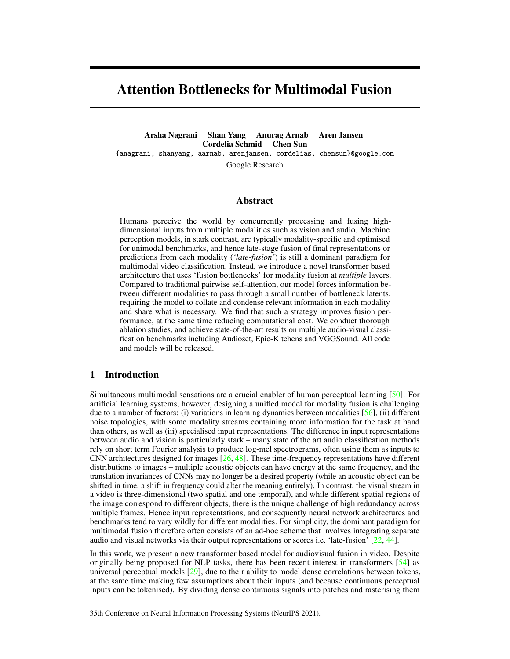# Attention Bottlenecks for Multimodal Fusion

Arsha Nagrani Shan Yang Anurag Arnab Aren Jansen Cordelia Schmid Chen Sun {anagrani, shanyang, aarnab, arenjansen, cordelias, chensun}@google.com Google Research

# Abstract

Humans perceive the world by concurrently processing and fusing highdimensional inputs from multiple modalities such as vision and audio. Machine perception models, in stark contrast, are typically modality-specific and optimised for unimodal benchmarks, and hence late-stage fusion of final representations or predictions from each modality (*'late-fusion'*) is still a dominant paradigm for multimodal video classification. Instead, we introduce a novel transformer based architecture that uses 'fusion bottlenecks' for modality fusion at *multiple* layers. Compared to traditional pairwise self-attention, our model forces information between different modalities to pass through a small number of bottleneck latents, requiring the model to collate and condense relevant information in each modality and share what is necessary. We find that such a strategy improves fusion performance, at the same time reducing computational cost. We conduct thorough ablation studies, and achieve state-of-the-art results on multiple audio-visual classification benchmarks including Audioset, Epic-Kitchens and VGGSound. All code and models will be released.

# 1 Introduction

Simultaneous multimodal sensations are a crucial enabler of human perceptual learning [\[50\]](#page-12-0). For artificial learning systems, however, designing a unified model for modality fusion is challenging due to a number of factors: (i) variations in learning dynamics between modalities [\[56\]](#page-13-0), (ii) different noise topologies, with some modality streams containing more information for the task at hand than others, as well as (iii) specialised input representations. The difference in input representations between audio and vision is particularly stark – many state of the art audio classification methods rely on short term Fourier analysis to produce log-mel spectrograms, often using them as inputs to CNN architectures designed for images [\[26,](#page-11-0) [48\]](#page-12-1). These time-frequency representations have different distributions to images – multiple acoustic objects can have energy at the same frequency, and the translation invariances of CNNs may no longer be a desired property (while an acoustic object can be shifted in time, a shift in frequency could alter the meaning entirely). In contrast, the visual stream in a video is three-dimensional (two spatial and one temporal), and while different spatial regions of the image correspond to different objects, there is the unique challenge of high redundancy across multiple frames. Hence input representations, and consequently neural network architectures and benchmarks tend to vary wildly for different modalities. For simplicity, the dominant paradigm for multimodal fusion therefore often consists of an ad-hoc scheme that involves integrating separate audio and visual networks via their output representations or scores i.e. 'late-fusion' [\[22,](#page-11-1) [44\]](#page-12-2).

In this work, we present a new transformer based model for audiovisual fusion in video. Despite originally being proposed for NLP tasks, there has been recent interest in transformers [\[54\]](#page-12-3) as universal perceptual models [\[29\]](#page-11-2), due to their ability to model dense correlations between tokens, at the same time making few assumptions about their inputs (and because continuous perceptual inputs can be tokenised). By dividing dense continuous signals into patches and rasterising them

35th Conference on Neural Information Processing Systems (NeurIPS 2021).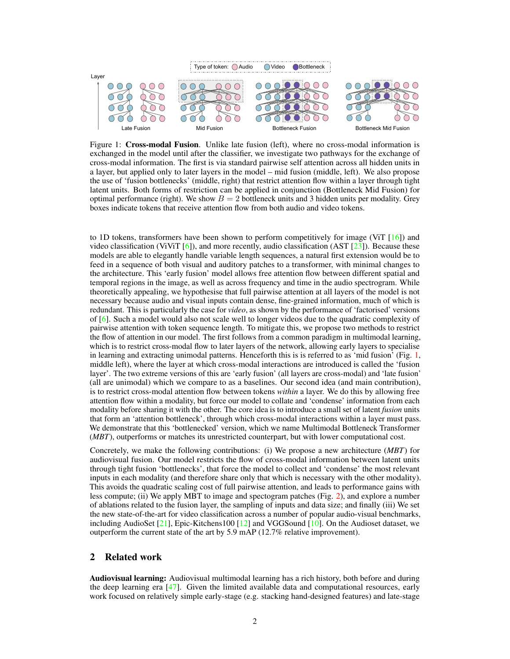<span id="page-1-0"></span>

Figure 1: Cross-modal Fusion. Unlike late fusion (left), where no cross-modal information is exchanged in the model until after the classifier, we investigate two pathways for the exchange of cross-modal information. The first is via standard pairwise self attention across all hidden units in a layer, but applied only to later layers in the model – mid fusion (middle, left). We also propose the use of 'fusion bottlenecks' (middle, right) that restrict attention flow within a layer through tight latent units. Both forms of restriction can be applied in conjunction (Bottleneck Mid Fusion) for optimal performance (right). We show  $B = 2$  bottleneck units and 3 hidden units per modality. Grey boxes indicate tokens that receive attention flow from both audio and video tokens.

to 1D tokens, transformers have been shown to perform competitively for image (ViT  $[16]$ ) and video classification (ViViT  $[6]$ ), and more recently, audio classification (AST  $[23]$ ). Because these models are able to elegantly handle variable length sequences, a natural first extension would be to feed in a sequence of both visual and auditory patches to a transformer, with minimal changes to the architecture. This 'early fusion' model allows free attention flow between different spatial and temporal regions in the image, as well as across frequency and time in the audio spectrogram. While theoretically appealing, we hypothesise that full pairwise attention at all layers of the model is not necessary because audio and visual inputs contain dense, fine-grained information, much of which is redundant. This is particularly the case for *video*, as shown by the performance of 'factorised' versions of [\[6\]](#page-10-1). Such a model would also not scale well to longer videos due to the quadratic complexity of pairwise attention with token sequence length. To mitigate this, we propose two methods to restrict the flow of attention in our model. The first follows from a common paradigm in multimodal learning, which is to restrict cross-modal flow to later layers of the network, allowing early layers to specialise in learning and extracting unimodal patterns. Henceforth this is is referred to as 'mid fusion' (Fig. [1,](#page-1-0) middle left), where the layer at which cross-modal interactions are introduced is called the 'fusion layer'. The two extreme versions of this are 'early fusion' (all layers are cross-modal) and 'late fusion' (all are unimodal) which we compare to as a baselines. Our second idea (and main contribution), is to restrict cross-modal attention flow between tokens *within* a layer. We do this by allowing free attention flow within a modality, but force our model to collate and 'condense' information from each modality before sharing it with the other. The core idea is to introduce a small set of latent *fusion* units that form an 'attention bottleneck', through which cross-modal interactions within a layer must pass. We demonstrate that this 'bottlenecked' version, which we name Multimodal Bottleneck Transformer (*MBT*), outperforms or matches its unrestricted counterpart, but with lower computational cost.

Concretely, we make the following contributions: (i) We propose a new architecture (*MBT*) for audiovisual fusion. Our model restricts the flow of cross-modal information between latent units through tight fusion 'bottlenecks', that force the model to collect and 'condense' the most relevant inputs in each modality (and therefore share only that which is necessary with the other modality). This avoids the quadratic scaling cost of full pairwise attention, and leads to performance gains with less compute; (ii) We apply MBT to image and spectogram patches (Fig. [2\)](#page-2-0), and explore a number of ablations related to the fusion layer, the sampling of inputs and data size; and finally (iii) We set the new state-of-the-art for video classification across a number of popular audio-visual benchmarks, including AudioSet  $[21]$ , Epic-Kitchens100  $[12]$  and VGGSound  $[10]$ . On the Audioset dataset, we outperform the current state of the art by 5.9 mAP (12.7% relative improvement).

# 2 Related work

Audiovisual learning: Audiovisual multimodal learning has a rich history, both before and during the deep learning era [\[47\]](#page-12-4). Given the limited available data and computational resources, early work focused on relatively simple early-stage (e.g. stacking hand-designed features) and late-stage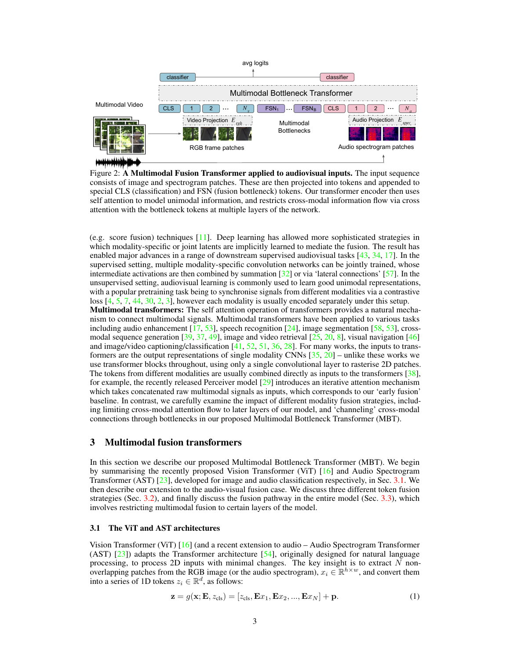<span id="page-2-0"></span>

Figure 2: A Multimodal Fusion Transformer applied to audiovisual inputs. The input sequence consists of image and spectrogram patches. These are then projected into tokens and appended to special CLS (classification) and FSN (fusion bottleneck) tokens. Our transformer encoder then uses self attention to model unimodal information, and restricts cross-modal information flow via cross attention with the bottleneck tokens at multiple layers of the network.

(e.g. score fusion) techniques [\[11\]](#page-10-4). Deep learning has allowed more sophisticated strategies in which modality-specific or joint latents are implicitly learned to mediate the fusion. The result has enabled major advances in a range of downstream supervised audiovisual tasks  $[43, 34, 17]$  $[43, 34, 17]$  $[43, 34, 17]$  $[43, 34, 17]$  $[43, 34, 17]$ . In the supervised setting, multiple modality-specific convolution networks can be jointly trained, whose intermediate activations are then combined by summation [\[32\]](#page-11-6) or via 'lateral connections' [\[57\]](#page-13-1). In the unsupervised setting, audiovisual learning is commonly used to learn good unimodal representations, with a popular pretraining task being to synchronise signals from different modalities via a contrastive loss  $[4, 5, 7, 44, 30, 2, 3]$  $[4, 5, 7, 44, 30, 2, 3]$  $[4, 5, 7, 44, 30, 2, 3]$  $[4, 5, 7, 44, 30, 2, 3]$  $[4, 5, 7, 44, 30, 2, 3]$  $[4, 5, 7, 44, 30, 2, 3]$  $[4, 5, 7, 44, 30, 2, 3]$  $[4, 5, 7, 44, 30, 2, 3]$  $[4, 5, 7, 44, 30, 2, 3]$  $[4, 5, 7, 44, 30, 2, 3]$  $[4, 5, 7, 44, 30, 2, 3]$  $[4, 5, 7, 44, 30, 2, 3]$  $[4, 5, 7, 44, 30, 2, 3]$ , however each modality is usually encoded separately under this setup. Multimodal transformers: The self attention operation of transformers provides a natural mechanism to connect multimodal signals. Multimodal transformers have been applied to various tasks including audio enhancement  $[17, 53]$  $[17, 53]$  $[17, 53]$ , speech recognition  $[24]$ , image segmentation  $[58, 53]$  $[58, 53]$ , crossmodal sequence generation  $[39, 37, 49]$  $[39, 37, 49]$  $[39, 37, 49]$  $[39, 37, 49]$  $[39, 37, 49]$ , image and video retrieval  $[25, 20, 8]$  $[25, 20, 8]$  $[25, 20, 8]$  $[25, 20, 8]$  $[25, 20, 8]$ , visual navigation  $[46]$ and image/video captioning/classification [\[41,](#page-12-11) [52,](#page-12-12) [51,](#page-12-13) [36,](#page-11-11) [28\]](#page-11-12). For many works, the inputs to transformers are the output representations of single modality CNNs  $[35, 20]$  $[35, 20]$  $[35, 20]$  – unlike these works we use transformer blocks throughout, using only a single convolutional layer to rasterise 2D patches. The tokens from different modalities are usually combined directly as inputs to the transformers [\[38\]](#page-12-14),

for example, the recently released Perceiver model [\[29\]](#page-11-2) introduces an iterative attention mechanism which takes concatenated raw multimodal signals as inputs, which corresponds to our 'early fusion' baseline. In contrast, we carefully examine the impact of different modality fusion strategies, including limiting cross-modal attention flow to later layers of our model, and 'channeling' cross-modal connections through bottlenecks in our proposed Multimodal Bottleneck Transformer (MBT).

# 3 Multimodal fusion transformers

In this section we describe our proposed Multimodal Bottleneck Transformer (MBT). We begin by summarising the recently proposed Vision Transformer (ViT) [\[16\]](#page-10-0) and Audio Spectrogram Transformer (AST) [\[23\]](#page-11-3), developed for image and audio classification respectively, in Sec. [3.1.](#page-2-1) We then describe our extension to the audio-visual fusion case. We discuss three different token fusion strategies (Sec. [3.2\)](#page-3-0), and finally discuss the fusion pathway in the entire model (Sec. [3.3\)](#page-4-0), which involves restricting multimodal fusion to certain layers of the model.

## <span id="page-2-1"></span>3.1 The ViT and AST architectures

Vision Transformer (ViT)  $[16]$  (and a recent extension to audio – Audio Spectrogram Transformer (AST) [\[23\]](#page-11-3)) adapts the Transformer architecture [\[54\]](#page-12-3), originally designed for natural language processing, to process 2D inputs with minimal changes. The key insight is to extract  $N$  nonoverlapping patches from the RGB image (or the audio spectrogram),  $x_i \in \mathbb{R}^{h \times w}$ , and convert them into a series of 1D tokens  $z_i \in \mathbb{R}^d$ , as follows:

$$
\mathbf{z} = g(\mathbf{x}; \mathbf{E}, z_{\text{cls}}) = [z_{\text{cls}}, \mathbf{E}x_1, \mathbf{E}x_2, ..., \mathbf{E}x_N] + \mathbf{p}.
$$
 (1)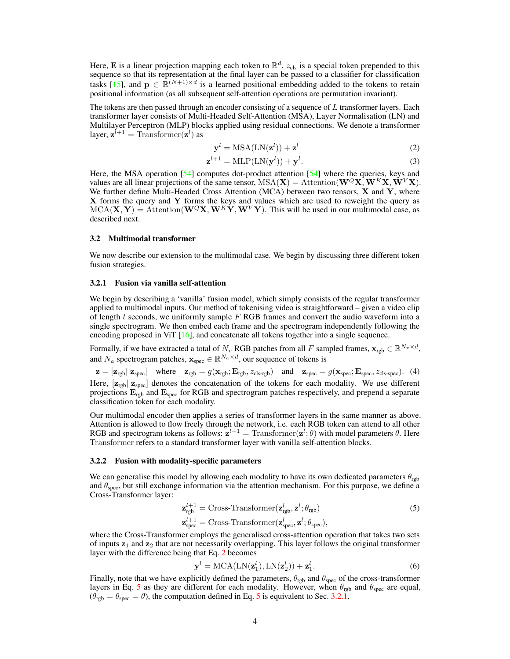Here, **E** is a linear projection mapping each token to  $\mathbb{R}^d$ ,  $z_{cls}$  is a special token prepended to this sequence so that its representation at the final layer can be passed to a classifier for classification tasks [\[15\]](#page-10-12), and  $\mathbf{p} \in \mathbb{R}^{(N+1) \times d}$  is a learned positional embedding added to the tokens to retain positional information (as all subsequent self-attention operations are permutation invariant).

The tokens are then passed through an encoder consisting of a sequence of L transformer layers. Each transformer layer consists of Multi-Headed Self-Attention (MSA), Layer Normalisation (LN) and Multilayer Perceptron (MLP) blocks applied using residual connections. We denote a transformer layer,  $z^{l+1}$  = Transformer $(z^l)$  as

<span id="page-3-1"></span>
$$
\mathbf{y}^l = \text{MSA}(\text{LN}(\mathbf{z}^l)) + \mathbf{z}^l \tag{2}
$$

$$
\mathbf{z}^{l+1} = \text{MLP}(\text{LN}(\mathbf{y}^l)) + \mathbf{y}^l.
$$
 (3)

Here, the MSA operation [\[54\]](#page-12-3) computes dot-product attention [\[54\]](#page-12-3) where the queries, keys and values are all linear projections of the same tensor,  $MSA(X) =$  Attention( $W^Q X$ ,  $W^K X$ ,  $W^V X$ ). We further define Multi-Headed Cross Attention (MCA) between two tensors,  $X$  and  $Y$ , where X forms the query and Y forms the keys and values which are used to reweight the query as  $MCA(X, Y) =$  Attention( $W^{Q}X, W^{K}Y, W^{V}Y$ ). This will be used in our multimodal case, as described next.

## <span id="page-3-0"></span>3.2 Multimodal transformer

We now describe our extension to the multimodal case. We begin by discussing three different token fusion strategies.

#### <span id="page-3-3"></span>3.2.1 Fusion via vanilla self-attention

We begin by describing a 'vanilla' fusion model, which simply consists of the regular transformer applied to multimodal inputs. Our method of tokenising video is straightforward – given a video clip of length  $t$  seconds, we uniformly sample  $F$  RGB frames and convert the audio waveform into a single spectrogram. We then embed each frame and the spectrogram independently following the encoding proposed in ViT  $[16]$ , and concatenate all tokens together into a single sequence.

Formally, if we have extracted a total of  $N_v$  RGB patches from all F sampled frames,  $\mathbf{x}_{rgb} \in \mathbb{R}^{N_v \times d}$ , and  $N_a$  spectrogram patches,  $\mathbf{x}_{\text{spec}} \in \mathbb{R}^{N_a \times d}$ , our sequence of tokens is

 $\mathbf{z} = [\mathbf{z}_{\text{rgb}} || \mathbf{z}_{\text{spec}}]$  where  $\mathbf{z}_{\text{rgb}} = g(\mathbf{x}_{\text{rgb}}, \mathbf{E}_{\text{rgb}}, z_{\text{cls-rgb}})$  and  $\mathbf{z}_{\text{spec}} = g(\mathbf{x}_{\text{spec}}; \mathbf{E}_{\text{spec}}, z_{\text{cls-spec}})$ . (4) Here,  $[\mathbf{z}_{rgb}||\mathbf{z}_{spec}]$  denotes the concatenation of the tokens for each modality. We use different projections  $E_{rgb}$  and  $E_{spec}$  for RGB and spectrogram patches respectively, and prepend a separate classification token for each modality.

Our multimodal encoder then applies a series of transformer layers in the same manner as above. Attention is allowed to flow freely through the network, i.e. each RGB token can attend to all other RGB and spectrogram tokens as follows:  $\mathbf{z}^{l+1} = \text{Transformer}(\mathbf{z}^l; \theta)$  with model parameters  $\theta$ . Here Transformer refers to a standard transformer layer with vanilla self-attention blocks.

#### 3.2.2 Fusion with modality-specific parameters

We can generalise this model by allowing each modality to have its own dedicated parameters  $\theta_{\text{rgb}}$ and  $\theta_{\text{spec}}$ , but still exchange information via the attention mechanism. For this purpose, we define a Cross-Transformer layer:

$$
\mathbf{z}_{\text{rgb}}^{l+1} = \text{Cross-Transformer}(\mathbf{z}_{\text{rgb}}^{l}, \mathbf{z}^{l}; \theta_{\text{rgb}})
$$
\n
$$
\mathbf{z}_{\text{spec}}^{l+1} = \text{Cross-Transformer}(\mathbf{z}_{\text{spec}}^{l}, \mathbf{z}^{l}; \theta_{\text{spec}}),
$$
\n(5)

where the Cross-Transformer employs the generalised cross-attention operation that takes two sets of inputs  $z_1$  and  $z_2$  that are not necessarily overlapping. This layer follows the original transformer layer with the difference being that Eq. [2](#page-3-1) becomes

<span id="page-3-2"></span>
$$
\mathbf{y}^{l} = \text{MCA}(\text{LN}(\mathbf{z}_{1}^{l}), \text{LN}(\mathbf{z}_{2}^{l})) + \mathbf{z}_{1}^{l}.
$$
 (6)

Finally, note that we have explicitly defined the parameters,  $\theta_{\text{rgb}}$  and  $\theta_{\text{spec}}$  of the cross-transformer layers in Eq. [5](#page-3-2) as they are different for each modality. However, when  $\theta_{\text{rgb}}$  and  $\theta_{\text{spec}}$  are equal,  $(\theta_{\text{rgb}} = \theta_{\text{spec}} = \theta)$ , the computation defined in Eq. [5](#page-3-2) is equivalent to Sec. [3.2.1.](#page-3-3)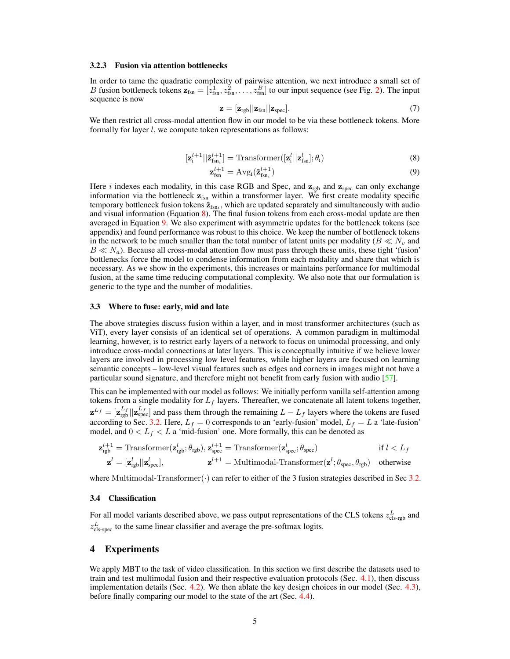#### 3.2.3 Fusion via attention bottlenecks

In order to tame the quadratic complexity of pairwise attention, we next introduce a small set of B fusion bottleneck tokens  $\mathbf{z}_{fsn} = [\bar{z}_{fsn}^1, \bar{z}_{fsn}^2, \dots, \bar{z}_{fsn}^B]$  to our input sequence (see Fig. [2\)](#page-2-0). The input sequence is now

<span id="page-4-2"></span><span id="page-4-1"></span>
$$
\mathbf{z} = [\mathbf{z}_{\text{rgb}} || \mathbf{z}_{\text{fsn}} || \mathbf{z}_{\text{spec}}]. \tag{7}
$$

We then restrict all cross-modal attention flow in our model to be via these bottleneck tokens. More formally for layer *l*, we compute token representations as follows:

$$
[\mathbf{z}_{i}^{l+1}||\hat{\mathbf{z}}_{\text{fsn}_{i}}^{l+1}] = \text{Transformer}([\mathbf{z}_{i}^{l}||\mathbf{z}_{\text{fsn}}^{l}]; \theta_{i})
$$
\n(8)

$$
\mathbf{z}_{\text{fsn}}^{l+1} = \text{Avg}_i(\hat{\mathbf{z}}_{\text{fsn}_i}^{l+1})
$$
\n(9)

Here i indexes each modality, in this case RGB and Spec, and  $z_{\text{rgb}}$  and  $z_{\text{spec}}$  can only exchange information via the bottleneck  $z_{fsn}$  within a transformer layer. We first create modality specific temporary bottleneck fusion tokens  $\hat{\mathbf{z}}_{\text{fsn}_i}$ , which are updated separately and simultaneously with audio and visual information (Equation [8\)](#page-4-1). The final fusion tokens from each cross-modal update are then averaged in Equation [9.](#page-4-2) We also experiment with asymmetric updates for the bottleneck tokens (see appendix) and found performance was robust to this choice. We keep the number of bottleneck tokens in the network to be much smaller than the total number of latent units per modality ( $B \ll N_v$ ) and  $B \ll N_a$ ). Because all cross-modal attention flow must pass through these units, these tight 'fusion' bottlenecks force the model to condense information from each modality and share that which is necessary. As we show in the experiments, this increases or maintains performance for multimodal fusion, at the same time reducing computational complexity. We also note that our formulation is generic to the type and the number of modalities.

#### <span id="page-4-0"></span>3.3 Where to fuse: early, mid and late

The above strategies discuss fusion within a layer, and in most transformer architectures (such as ViT), every layer consists of an identical set of operations. A common paradigm in multimodal learning, however, is to restrict early layers of a network to focus on unimodal processing, and only introduce cross-modal connections at later layers. This is conceptually intuitive if we believe lower layers are involved in processing low level features, while higher layers are focused on learning semantic concepts – low-level visual features such as edges and corners in images might not have a particular sound signature, and therefore might not benefit from early fusion with audio [\[57\]](#page-13-1).

This can be implemented with our model as follows: We initially perform vanilla self-attention among tokens from a single modality for  $L_f$  layers. Thereafter, we concatenate all latent tokens together,  $\mathbf{z}^{L_f} = [\mathbf{z}_{\text{rgb}}^{L_f} || \mathbf{z}_{\text{spec}}^{L_f}]$  and pass them through the remaining  $L - L_f$  layers where the tokens are fused according to Sec. [3.2.](#page-3-0) Here,  $L_f = 0$  corresponds to an 'early-fusion' model,  $L_f = L$  a 'late-fusion' model, and  $0 < L_f < L$  a 'mid-fusion' one. More formally, this can be denoted as

$$
\mathbf{z}_{\text{rgb}}^{l+1} = \text{Transformer}(\mathbf{z}_{\text{rgb}}^{l}; \theta_{\text{rgb}}), \mathbf{z}_{\text{spec}}^{l+1} = \text{Transformer}(\mathbf{z}_{\text{spec}}^{l}; \theta_{\text{spec}}) \quad \text{if } l < L_{f}
$$
\n
$$
\mathbf{z}^{l} = [\mathbf{z}_{\text{rgb}}^{l} || \mathbf{z}_{\text{spec}}^{l}], \quad \mathbf{z}^{l+1} = \text{Multimodal-Transformer}(\mathbf{z}^{l}; \theta_{\text{spec}}, \theta_{\text{rgb}}) \quad \text{otherwise}
$$

where Multimodal-Transformer( $\cdot$ ) can refer to either of the 3 fusion strategies described in Sec [3.2.](#page-3-0)

## 3.4 Classification

For all model variants described above, we pass output representations of the CLS tokens  $z_{\text{cls-rgb}}^L$  and  $z_{\text{cls-spec}}^L$  to the same linear classifier and average the pre-softmax logits.

# 4 Experiments

We apply MBT to the task of video classification. In this section we first describe the datasets used to train and test multimodal fusion and their respective evaluation protocols (Sec.  $4.1$ ), then discuss implementation details (Sec.  $4.2$ ). We then ablate the key design choices in our model (Sec.  $4.3$ ), before finally comparing our model to the state of the art (Sec. [4.4\)](#page-7-0).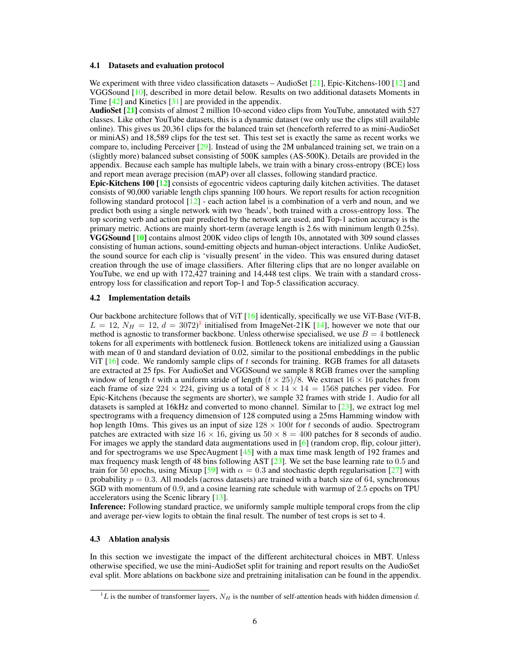#### <span id="page-5-0"></span>4.1 Datasets and evaluation protocol

We experiment with three video classification datasets – AudioSet  $[21]$ , Epic-Kitchens-100  $[12]$  and VGGSound [\[10\]](#page-10-3), described in more detail below. Results on two additional datasets Moments in Time [\[42\]](#page-12-15) and Kinetics [\[31\]](#page-11-14) are provided in the appendix.

AudioSet [\[21\]](#page-11-4) consists of almost 2 million 10-second video clips from YouTube, annotated with 527 classes. Like other YouTube datasets, this is a dynamic dataset (we only use the clips still available online). This gives us 20,361 clips for the balanced train set (henceforth referred to as mini-AudioSet or miniAS) and 18,589 clips for the test set. This test set is exactly the same as recent works we compare to, including Perceiver  $[29]$ . Instead of using the 2M unbalanced training set, we train on a (slightly more) balanced subset consisting of 500K samples (AS-500K). Details are provided in the appendix. Because each sample has multiple labels, we train with a binary cross-entropy (BCE) loss and report mean average precision (mAP) over all classes, following standard practice.

**Epic-Kitchens 100 [\[12\]](#page-10-2)** consists of egocentric videos capturing daily kitchen activities. The dataset consists of 90,000 variable length clips spanning 100 hours. We report results for action recognition following standard protocol  $[12]$  - each action label is a combination of a verb and noun, and we predict both using a single network with two 'heads', both trained with a cross-entropy loss. The top scoring verb and action pair predicted by the network are used, and Top-1 action accuracy is the primary metric. Actions are mainly short-term (average length is 2.6s with minimum length 0.25s). VGGSound [\[10\]](#page-10-3) contains almost 200K video clips of length 10s, annotated with 309 sound classes consisting of human actions, sound-emitting objects and human-object interactions. Unlike AudioSet, the sound source for each clip is 'visually present' in the video. This was ensured during dataset creation through the use of image classifiers. After filtering clips that are no longer available on YouTube, we end up with 172,427 training and 14,448 test clips. We train with a standard crossentropy loss for classification and report Top-1 and Top-5 classification accuracy.

## <span id="page-5-1"></span>4.2 Implementation details

Our backbone architecture follows that of ViT [\[16\]](#page-10-0) identically, specifically we use ViT-Base (ViT-B,  $L = 12$  $L = 12$  $L = 12$ ,  $N_H = 12$ ,  $d = 3072$ <sup>1</sup> initialised from ImageNet-21K [\[14\]](#page-10-13), however we note that our method is agnostic to transformer backbone. Unless otherwise specialised, we use  $B = 4$  bottleneck tokens for all experiments with bottleneck fusion. Bottleneck tokens are initialized using a Gaussian with mean of 0 and standard deviation of 0.02, similar to the positional embeddings in the public ViT  $[16]$  code. We randomly sample clips of t seconds for training. RGB frames for all datasets are extracted at 25 fps. For AudioSet and VGGSound we sample 8 RGB frames over the sampling window of length t with a uniform stride of length  $(t \times 25)/8$ . We extract  $16 \times 16$  patches from each frame of size  $224 \times 224$ , giving us a total of  $8 \times 14 \times 14 = 1568$  patches per video. For Epic-Kitchens (because the segments are shorter), we sample 32 frames with stride 1. Audio for all datasets is sampled at 16kHz and converted to mono channel. Similar to [\[23\]](#page-11-3), we extract log mel spectrograms with a frequency dimension of 128 computed using a 25ms Hamming window with hop length 10ms. This gives us an input of size  $128 \times 100t$  for t seconds of audio. Spectrogram patches are extracted with size  $16 \times 16$ , giving us  $50 \times 8 = 400$  patches for 8 seconds of audio. For images we apply the standard data augmentations used in  $[6]$  (random crop, flip, colour jitter), and for spectrograms we use SpecAugment  $[45]$  with a max time mask length of 192 frames and max frequency mask length of 48 bins following AST [\[23\]](#page-11-3). We set the base learning rate to 0.5 and train for 50 epochs, using Mixup [\[59\]](#page-13-3) with  $\alpha = 0.3$  and stochastic depth regularisation [\[27\]](#page-11-15) with probability  $p = 0.3$ . All models (across datasets) are trained with a batch size of 64, synchronous SGD with momentum of 0.9, and a cosine learning rate schedule with warmup of 2.5 epochs on TPU accelerators using the Scenic library [\[13\]](#page-10-14).

Inference: Following standard practice, we uniformly sample multiple temporal crops from the clip and average per-view logits to obtain the final result. The number of test crops is set to 4.

## <span id="page-5-2"></span>4.3 Ablation analysis

In this section we investigate the impact of the different architectural choices in MBT. Unless otherwise specified, we use the mini-AudioSet split for training and report results on the AudioSet eval split. More ablations on backbone size and pretraining initalisation can be found in the appendix.

<span id="page-5-3"></span> ${}^{1}L$  is the number of transformer layers,  $N_H$  is the number of self-attention heads with hidden dimension d.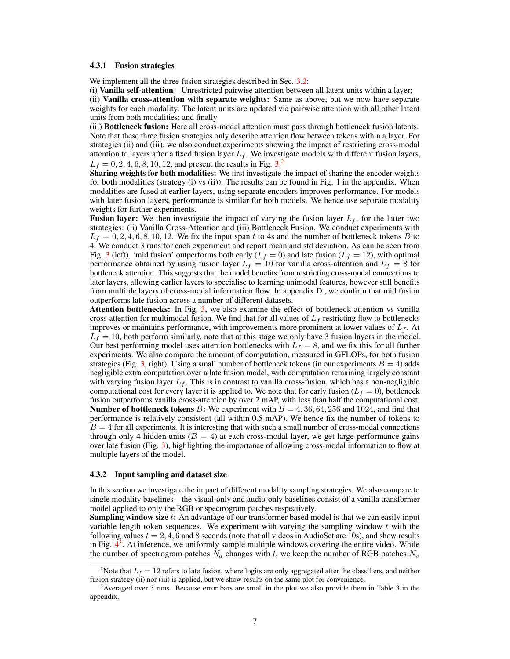#### 4.3.1 Fusion strategies

We implement all the three fusion strategies described in Sec. [3.2:](#page-3-0)

(i) Vanilla self-attention – Unrestricted pairwise attention between all latent units within a layer;

(ii) Vanilla cross-attention with separate weights: Same as above, but we now have separate weights for each modality. The latent units are updated via pairwise attention with all other latent units from both modalities; and finally

(iii) Bottleneck fusion: Here all cross-modal attention must pass through bottleneck fusion latents. Note that these three fusion strategies only describe attention flow between tokens within a layer. For strategies (ii) and (iii), we also conduct experiments showing the impact of restricting cross-modal attention to layers after a fixed fusion layer  $L_f$ . We investigate models with different fusion layers,  $L_f = 0, 2, 4, 6, 8, 10, 12$  $L_f = 0, 2, 4, 6, 8, 10, 12$  $L_f = 0, 2, 4, 6, 8, 10, 12$ , and present the results in Fig. [3.](#page-7-1)<sup>2</sup>

Sharing weights for both modalities: We first investigate the impact of sharing the encoder weights for both modalities (strategy (i) vs (ii)). The results can be found in Fig. 1 in the appendix. When modalities are fused at earlier layers, using separate encoders improves performance. For models with later fusion layers, performance is similar for both models. We hence use separate modality weights for further experiments.

**Fusion layer:** We then investigate the impact of varying the fusion layer  $L_f$ , for the latter two strategies: (ii) Vanilla Cross-Attention and (iii) Bottleneck Fusion. We conduct experiments with  $L_f = 0, 2, 4, 6, 8, 10, 12$ . We fix the input span t to 4s and the number of bottleneck tokens B to 4. We conduct 3 runs for each experiment and report mean and std deviation. As can be seen from Fig. [3](#page-7-1) (left), 'mid fusion' outperforms both early ( $L_f = 0$ ) and late fusion ( $L_f = 12$ ), with optimal performance obtained by using fusion layer  $L_f = 10$  for vanilla cross-attention and  $L_f = 8$  for bottleneck attention. This suggests that the model benefits from restricting cross-modal connections to later layers, allowing earlier layers to specialise to learning unimodal features, however still benefits from multiple layers of cross-modal information flow. In appendix D , we confirm that mid fusion outperforms late fusion across a number of different datasets.

Attention bottlenecks: In Fig. [3,](#page-7-1) we also examine the effect of bottleneck attention vs vanilla cross-attention for multimodal fusion. We find that for all values of  $L_f$  restricting flow to bottlenecks improves or maintains performance, with improvements more prominent at lower values of  $L_f$ . At  $L_f = 10$ , both perform similarly, note that at this stage we only have 3 fusion layers in the model. Our best performing model uses attention bottlenecks with  $L_f = 8$ , and we fix this for all further experiments. We also compare the amount of computation, measured in GFLOPs, for both fusion strategies (Fig. [3,](#page-7-1) right). Using a small number of bottleneck tokens (in our experiments  $B = 4$ ) adds negligible extra computation over a late fusion model, with computation remaining largely constant with varying fusion layer  $L_f$ . This is in contrast to vanilla cross-fusion, which has a non-negligible computational cost for every layer it is applied to. We note that for early fusion ( $L_f = 0$ ), bottleneck fusion outperforms vanilla cross-attention by over 2 mAP, with less than half the computational cost. **Number of bottleneck tokens** B: We experiment with  $B = 4, 36, 64, 256$  and 1024, and find that performance is relatively consistent (all within 0.5 mAP). We hence fix the number of tokens to  $B = 4$  for all experiments. It is interesting that with such a small number of cross-modal connections through only 4 hidden units ( $B = 4$ ) at each cross-modal layer, we get large performance gains over late fusion (Fig. [3\)](#page-7-1), highlighting the importance of allowing cross-modal information to flow at multiple layers of the model.

## 4.3.2 Input sampling and dataset size

In this section we investigate the impact of different modality sampling strategies. We also compare to single modality baselines – the visual-only and audio-only baselines consist of a vanilla transformer model applied to only the RGB or spectrogram patches respectively.

Sampling window size t: An advantage of our transformer based model is that we can easily input variable length token sequences. We experiment with varying the sampling window  $t$  with the following values  $t = 2, 4, 6$  and 8 seconds (note that all videos in AudioSet are 10s), and show results in Fig.  $\overline{4}^3$  $\overline{4}^3$  $\overline{4}^3$  $\overline{4}^3$ . At inference, we uniformly sample multiple windows covering the entire video. While the number of spectrogram patches  $N_a$  changes with t, we keep the number of RGB patches  $N_v$ 

<span id="page-6-0"></span><sup>&</sup>lt;sup>2</sup>Note that  $L_f = 12$  refers to late fusion, where logits are only aggregated after the classifiers, and neither fusion strategy (ii) nor (iii) is applied, but we show results on the same plot for convenience.

<span id="page-6-1"></span><sup>3</sup>Averaged over 3 runs. Because error bars are small in the plot we also provide them in Table 3 in the appendix.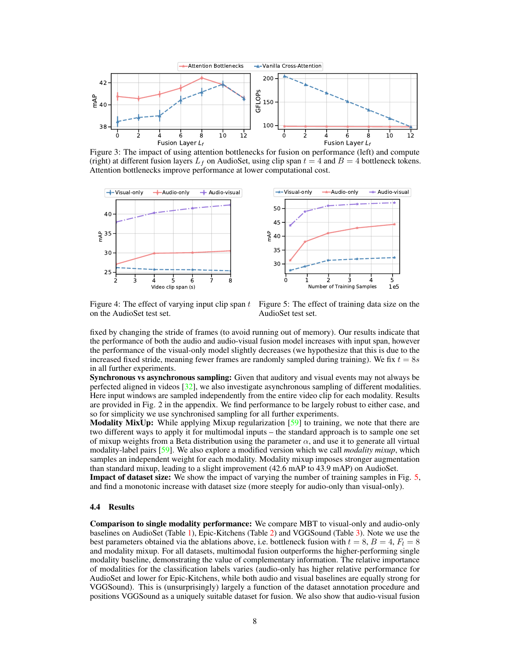<span id="page-7-1"></span>

Figure 3: The impact of using attention bottlenecks for fusion on performance (left) and compute (right) at different fusion layers  $L_f$  on AudioSet, using clip span  $t = 4$  and  $B = 4$  bottleneck tokens. Attention bottlenecks improve performance at lower computational cost.

<span id="page-7-2"></span>

Figure 4: The effect of varying input clip span  $t$  Figure 5: The effect of training data size on the on the AudioSet test set.

AudioSet test set.

fixed by changing the stride of frames (to avoid running out of memory). Our results indicate that the performance of both the audio and audio-visual fusion model increases with input span, however the performance of the visual-only model slightly decreases (we hypothesize that this is due to the increased fixed stride, meaning fewer frames are randomly sampled during training). We fix  $t = 8s$ in all further experiments.

Synchronous vs asynchronous sampling: Given that auditory and visual events may not always be perfected aligned in videos [\[32\]](#page-11-6), we also investigate asynchronous sampling of different modalities. Here input windows are sampled independently from the entire video clip for each modality. Results are provided in Fig. 2 in the appendix. We find performance to be largely robust to either case, and so for simplicity we use synchronised sampling for all further experiments.

**Modality MixUp:** While applying Mixup regularization [\[59\]](#page-13-3) to training, we note that there are two different ways to apply it for multimodal inputs – the standard approach is to sample one set of mixup weights from a Beta distribution using the parameter  $\alpha$ , and use it to generate all virtual modality-label pairs [\[59\]](#page-13-3). We also explore a modified version which we call *modality mixup*, which samples an independent weight for each modality. Modality mixup imposes stronger augmentation than standard mixup, leading to a slight improvement (42.6 mAP to 43.9 mAP) on AudioSet.

Impact of dataset size: We show the impact of varying the number of training samples in Fig. [5,](#page-7-2) and find a monotonic increase with dataset size (more steeply for audio-only than visual-only).

#### <span id="page-7-0"></span>4.4 Results

Comparison to single modality performance: We compare MBT to visual-only and audio-only baselines on AudioSet (Table [1\)](#page-8-0), Epic-Kitchens (Table [2\)](#page-8-1) and VGGSound (Table [3\)](#page-8-2). Note we use the best parameters obtained via the ablations above, i.e. bottleneck fusion with  $t = 8$ ,  $B = 4$ ,  $F<sub>l</sub> = 8$ and modality mixup. For all datasets, multimodal fusion outperforms the higher-performing single modality baseline, demonstrating the value of complementary information. The relative importance of modalities for the classification labels varies (audio-only has higher relative performance for AudioSet and lower for Epic-Kitchens, while both audio and visual baselines are equally strong for VGGSound). This is (unsurprisingly) largely a function of the dataset annotation procedure and positions VGGSound as a uniquely suitable dataset for fusion. We also show that audio-visual fusion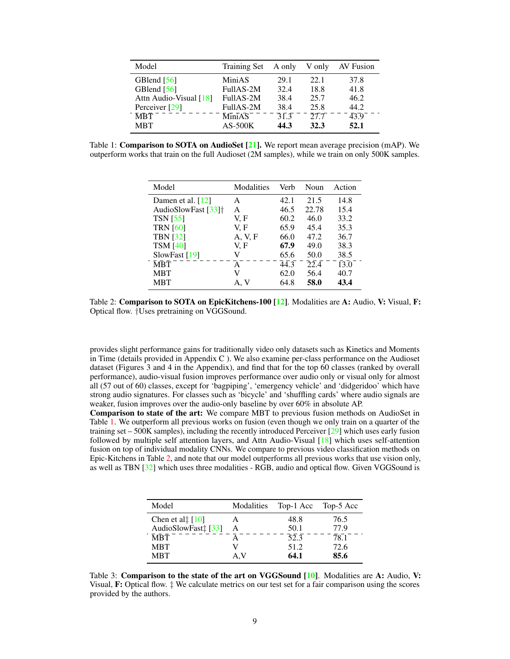<span id="page-8-0"></span>

| Model                  | Training Set A only |      | V only | AV Fusion |
|------------------------|---------------------|------|--------|-----------|
| GBlend $[56]$          | MiniAS              | 29.1 | 22.1   | 37.8      |
| GBlend $[56]$          | FullAS-2M           | 32.4 | 18.8   | 41.8      |
| Attn Audio-Visual [18] | FullAS-2M           | 38.4 | 25.7   | 46.2      |
| Perceiver [29]         | FullAS-2M           | 38.4 | 25.8   | 44.2      |
| <b>MBT</b>             | MiniAS              | 31.3 | 27.7   | 43.9      |
| <b>MBT</b>             | $AS-500K$           | 44.3 | 32.3   | 52.1      |

<span id="page-8-1"></span>Table 1: **Comparison to SOTA on AudioSet [\[21\]](#page-11-4).** We report mean average precision (mAP). We outperform works that train on the full Audioset (2M samples), while we train on only 500K samples.

| Model                           | Modalities | Verb | Noun                                    | Action |
|---------------------------------|------------|------|-----------------------------------------|--------|
| Damen et al. [12]               | A          | 42.1 | 21.5                                    | 14.8   |
| AudioSlowFast [33] <sup>†</sup> | A          | 46.5 | 22.78                                   | 15.4   |
| <b>TSN</b> [55]                 | V, F       | 60.2 | 46.0                                    | 33.2   |
| <b>TRN</b> [60]                 | V, F       | 65.9 | 45.4                                    | 35.3   |
| <b>TBN</b> [32]                 | A, V, F    | 66.0 | 47.2                                    | 36.7   |
| <b>TSM [40]</b>                 | V. F       | 67.9 | 49.0                                    | 38.3   |
| SlowFast $[19]$                 | V          | 65.6 | 50.0                                    | 38.5   |
| <b>MBT</b>                      | A          | 44.3 | $\overline{2}\overline{2}.\overline{4}$ | 13.0   |
| <b>MBT</b>                      | V          | 62.0 | 56.4                                    | 40.7   |
| <b>MBT</b>                      | A. V       | 64.8 | 58.0                                    | 43.4   |

Table 2: Comparison to SOTA on EpicKitchens-100 [\[12\]](#page-10-2). Modalities are A: Audio, V: Visual, F: Optical flow. †Uses pretraining on VGGSound.

provides slight performance gains for traditionally video only datasets such as Kinetics and Moments in Time (details provided in Appendix C ). We also examine per-class performance on the Audioset dataset (Figures 3 and 4 in the Appendix), and find that for the top 60 classes (ranked by overall performance), audio-visual fusion improves performance over audio only or visual only for almost all (57 out of 60) classes, except for 'bagpiping', 'emergency vehicle' and 'didgeridoo' which have strong audio signatures. For classes such as 'bicycle' and 'shuffling cards' where audio signals are weaker, fusion improves over the audio-only baseline by over 60% in absolute AP.

Comparison to state of the art: We compare MBT to previous fusion methods on AudioSet in Table [1.](#page-8-0) We outperform all previous works on fusion (even though we only train on a quarter of the training set – 500K samples), including the recently introduced Perceiver [\[29\]](#page-11-2) which uses early fusion followed by multiple self attention layers, and Attn Audio-Visual [\[18\]](#page-11-16) which uses self-attention fusion on top of individual modality CNNs. We compare to previous video classification methods on Epic-Kitchens in Table [2,](#page-8-1) and note that our model outperforms all previous works that use vision only, as well as TBN [\[32\]](#page-11-6) which uses three modalities - RGB, audio and optical flow. Given VGGSound is

<span id="page-8-2"></span>

| Model                                                  | Modalities | Top-1 Acc | Top-5 Acc |
|--------------------------------------------------------|------------|-----------|-----------|
| Chen et al $\ddagger$ [10]                             |            | 48.8      | 76.5      |
| AudioSlowFast <sup><math>\frac{1}{2}</math></sup> [33] | А          | 50.1      | 77.9      |
| <b>MBT</b>                                             |            | 52.3      | 78.1      |
| <b>MBT</b>                                             |            | 51.2      | 72.6      |
| MBT                                                    | A.V        | 64.1      | 85.6      |

Table 3: Comparison to the state of the art on VGGSound [\[10\]](#page-10-3). Modalities are A: Audio, V: Visual, F: Optical flow. ‡ We calculate metrics on our test set for a fair comparison using the scores provided by the authors.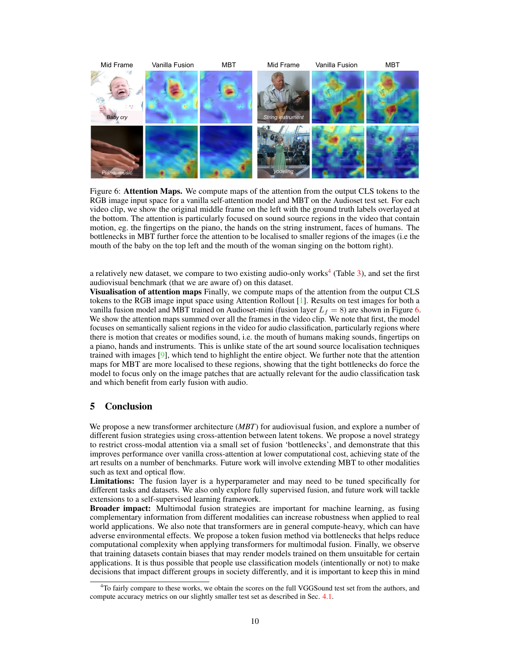<span id="page-9-1"></span>

Figure 6: **Attention Maps.** We compute maps of the attention from the output CLS tokens to the RGB image input space for a vanilla self-attention model and MBT on the Audioset test set. For each video clip, we show the original middle frame on the left with the ground truth labels overlayed at the bottom. The attention is particularly focused on sound source regions in the video that contain motion, eg. the fingertips on the piano, the hands on the string instrument, faces of humans. The bottlenecks in MBT further force the attention to be localised to smaller regions of the images (i.e the mouth of the baby on the top left and the mouth of the woman singing on the bottom right).

a relatively new dataset, we compare to two existing audio-only works<sup>[4](#page-9-0)</sup> (Table [3\)](#page-8-2), and set the first audiovisual benchmark (that we are aware of) on this dataset.

Visualisation of attention maps Finally, we compute maps of the attention from the output CLS tokens to the RGB image input space using Attention Rollout [\[1\]](#page-10-15). Results on test images for both a vanilla fusion model and MBT trained on Audioset-mini (fusion layer  $L_f = 8$ ) are shown in Figure [6.](#page-9-1) We show the attention maps summed over all the frames in the video clip. We note that first, the model focuses on semantically salient regions in the video for audio classification, particularly regions where there is motion that creates or modifies sound, i.e. the mouth of humans making sounds, fingertips on a piano, hands and instruments. This is unlike state of the art sound source localisation techniques trained with images [\[9\]](#page-10-16), which tend to highlight the entire object. We further note that the attention maps for MBT are more localised to these regions, showing that the tight bottlenecks do force the model to focus only on the image patches that are actually relevant for the audio classification task and which benefit from early fusion with audio.

# 5 Conclusion

We propose a new transformer architecture (*MBT*) for audiovisual fusion, and explore a number of different fusion strategies using cross-attention between latent tokens. We propose a novel strategy to restrict cross-modal attention via a small set of fusion 'bottlenecks', and demonstrate that this improves performance over vanilla cross-attention at lower computational cost, achieving state of the art results on a number of benchmarks. Future work will involve extending MBT to other modalities such as text and optical flow.

Limitations: The fusion layer is a hyperparameter and may need to be tuned specifically for different tasks and datasets. We also only explore fully supervised fusion, and future work will tackle extensions to a self-supervised learning framework.

Broader impact: Multimodal fusion strategies are important for machine learning, as fusing complementary information from different modalities can increase robustness when applied to real world applications. We also note that transformers are in general compute-heavy, which can have adverse environmental effects. We propose a token fusion method via bottlenecks that helps reduce computational complexity when applying transformers for multimodal fusion. Finally, we observe that training datasets contain biases that may render models trained on them unsuitable for certain applications. It is thus possible that people use classification models (intentionally or not) to make decisions that impact different groups in society differently, and it is important to keep this in mind

<span id="page-9-0"></span><sup>&</sup>lt;sup>4</sup>To fairly compare to these works, we obtain the scores on the full VGGSound test set from the authors, and compute accuracy metrics on our slightly smaller test set as described in Sec. [4.1.](#page-5-0)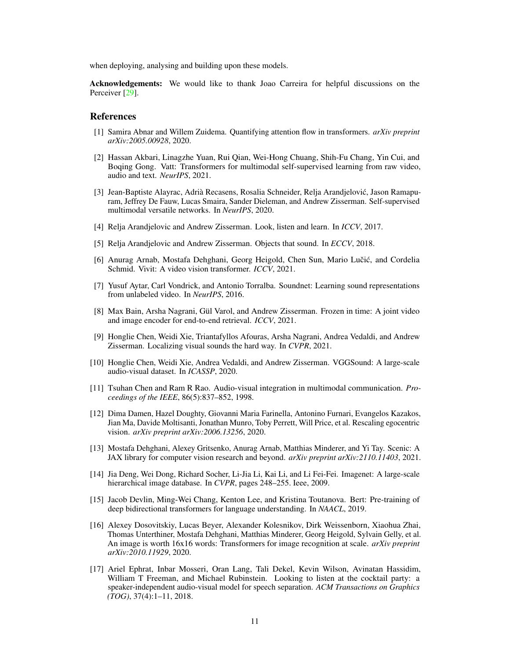when deploying, analysing and building upon these models.

Acknowledgements: We would like to thank Joao Carreira for helpful discussions on the Perceiver [\[29\]](#page-11-2).

## References

- <span id="page-10-15"></span>[1] Samira Abnar and Willem Zuidema. Quantifying attention flow in transformers. *arXiv preprint arXiv:2005.00928*, 2020.
- <span id="page-10-9"></span>[2] Hassan Akbari, Linagzhe Yuan, Rui Qian, Wei-Hong Chuang, Shih-Fu Chang, Yin Cui, and Boqing Gong. Vatt: Transformers for multimodal self-supervised learning from raw video, audio and text. *NeurIPS*, 2021.
- <span id="page-10-10"></span>[3] Jean-Baptiste Alayrac, Adrià Recasens, Rosalia Schneider, Relja Arandjelovic, Jason Ramapu- ´ ram, Jeffrey De Fauw, Lucas Smaira, Sander Dieleman, and Andrew Zisserman. Self-supervised multimodal versatile networks. In *NeurIPS*, 2020.
- <span id="page-10-6"></span>[4] Relja Arandjelovic and Andrew Zisserman. Look, listen and learn. In *ICCV*, 2017.
- <span id="page-10-7"></span>[5] Relja Arandjelovic and Andrew Zisserman. Objects that sound. In *ECCV*, 2018.
- <span id="page-10-1"></span>[6] Anurag Arnab, Mostafa Dehghani, Georg Heigold, Chen Sun, Mario Lučić, and Cordelia Schmid. Vivit: A video vision transformer. *ICCV*, 2021.
- <span id="page-10-8"></span>[7] Yusuf Aytar, Carl Vondrick, and Antonio Torralba. Soundnet: Learning sound representations from unlabeled video. In *NeurIPS*, 2016.
- <span id="page-10-11"></span>[8] Max Bain, Arsha Nagrani, Gül Varol, and Andrew Zisserman. Frozen in time: A joint video and image encoder for end-to-end retrieval. *ICCV*, 2021.
- <span id="page-10-16"></span>[9] Honglie Chen, Weidi Xie, Triantafyllos Afouras, Arsha Nagrani, Andrea Vedaldi, and Andrew Zisserman. Localizing visual sounds the hard way. In *CVPR*, 2021.
- <span id="page-10-3"></span>[10] Honglie Chen, Weidi Xie, Andrea Vedaldi, and Andrew Zisserman. VGGSound: A large-scale audio-visual dataset. In *ICASSP*, 2020.
- <span id="page-10-4"></span>[11] Tsuhan Chen and Ram R Rao. Audio-visual integration in multimodal communication. *Proceedings of the IEEE*, 86(5):837–852, 1998.
- <span id="page-10-2"></span>[12] Dima Damen, Hazel Doughty, Giovanni Maria Farinella, Antonino Furnari, Evangelos Kazakos, Jian Ma, Davide Moltisanti, Jonathan Munro, Toby Perrett, Will Price, et al. Rescaling egocentric vision. *arXiv preprint arXiv:2006.13256*, 2020.
- <span id="page-10-14"></span>[13] Mostafa Dehghani, Alexey Gritsenko, Anurag Arnab, Matthias Minderer, and Yi Tay. Scenic: A JAX library for computer vision research and beyond. *arXiv preprint arXiv:2110.11403*, 2021.
- <span id="page-10-13"></span>[14] Jia Deng, Wei Dong, Richard Socher, Li-Jia Li, Kai Li, and Li Fei-Fei. Imagenet: A large-scale hierarchical image database. In *CVPR*, pages 248–255. Ieee, 2009.
- <span id="page-10-12"></span>[15] Jacob Devlin, Ming-Wei Chang, Kenton Lee, and Kristina Toutanova. Bert: Pre-training of deep bidirectional transformers for language understanding. In *NAACL*, 2019.
- <span id="page-10-0"></span>[16] Alexey Dosovitskiy, Lucas Beyer, Alexander Kolesnikov, Dirk Weissenborn, Xiaohua Zhai, Thomas Unterthiner, Mostafa Dehghani, Matthias Minderer, Georg Heigold, Sylvain Gelly, et al. An image is worth 16x16 words: Transformers for image recognition at scale. *arXiv preprint arXiv:2010.11929*, 2020.
- <span id="page-10-5"></span>[17] Ariel Ephrat, Inbar Mosseri, Oran Lang, Tali Dekel, Kevin Wilson, Avinatan Hassidim, William T Freeman, and Michael Rubinstein. Looking to listen at the cocktail party: a speaker-independent audio-visual model for speech separation. *ACM Transactions on Graphics (TOG)*, 37(4):1–11, 2018.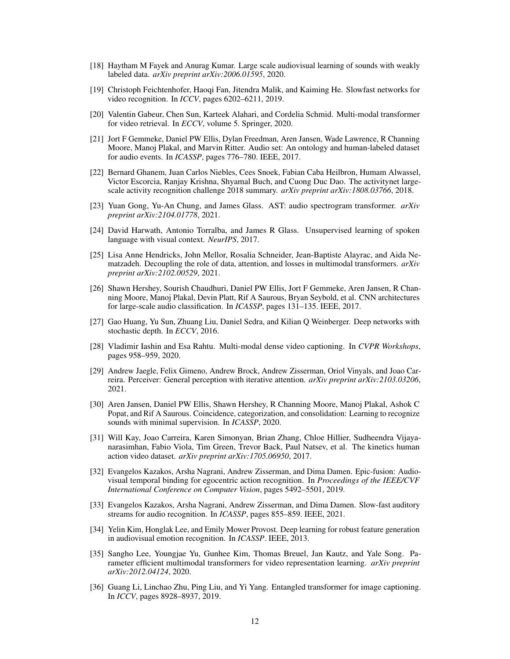- <span id="page-11-16"></span>[18] Haytham M Fayek and Anurag Kumar. Large scale audiovisual learning of sounds with weakly labeled data. *arXiv preprint arXiv:2006.01595*, 2020.
- <span id="page-11-18"></span>[19] Christoph Feichtenhofer, Haoqi Fan, Jitendra Malik, and Kaiming He. Slowfast networks for video recognition. In *ICCV*, pages 6202–6211, 2019.
- <span id="page-11-10"></span>[20] Valentin Gabeur, Chen Sun, Karteek Alahari, and Cordelia Schmid. Multi-modal transformer for video retrieval. In *ECCV*, volume 5. Springer, 2020.
- <span id="page-11-4"></span>[21] Jort F Gemmeke, Daniel PW Ellis, Dylan Freedman, Aren Jansen, Wade Lawrence, R Channing Moore, Manoj Plakal, and Marvin Ritter. Audio set: An ontology and human-labeled dataset for audio events. In *ICASSP*, pages 776–780. IEEE, 2017.
- <span id="page-11-1"></span>[22] Bernard Ghanem, Juan Carlos Niebles, Cees Snoek, Fabian Caba Heilbron, Humam Alwassel, Victor Escorcia, Ranjay Krishna, Shyamal Buch, and Cuong Duc Dao. The activitynet largescale activity recognition challenge 2018 summary. *arXiv preprint arXiv:1808.03766*, 2018.
- <span id="page-11-3"></span>[23] Yuan Gong, Yu-An Chung, and James Glass. AST: audio spectrogram transformer. *arXiv preprint arXiv:2104.01778*, 2021.
- <span id="page-11-8"></span>[24] David Harwath, Antonio Torralba, and James R Glass. Unsupervised learning of spoken language with visual context. *NeurIPS*, 2017.
- <span id="page-11-9"></span>[25] Lisa Anne Hendricks, John Mellor, Rosalia Schneider, Jean-Baptiste Alayrac, and Aida Nematzadeh. Decoupling the role of data, attention, and losses in multimodal transformers. *arXiv preprint arXiv:2102.00529*, 2021.
- <span id="page-11-0"></span>[26] Shawn Hershey, Sourish Chaudhuri, Daniel PW Ellis, Jort F Gemmeke, Aren Jansen, R Channing Moore, Manoj Plakal, Devin Platt, Rif A Saurous, Bryan Seybold, et al. CNN architectures for large-scale audio classification. In *ICASSP*, pages 131–135. IEEE, 2017.
- <span id="page-11-15"></span>[27] Gao Huang, Yu Sun, Zhuang Liu, Daniel Sedra, and Kilian Q Weinberger. Deep networks with stochastic depth. In *ECCV*, 2016.
- <span id="page-11-12"></span>[28] Vladimir Iashin and Esa Rahtu. Multi-modal dense video captioning. In *CVPR Workshops*, pages 958–959, 2020.
- <span id="page-11-2"></span>[29] Andrew Jaegle, Felix Gimeno, Andrew Brock, Andrew Zisserman, Oriol Vinyals, and Joao Carreira. Perceiver: General perception with iterative attention. *arXiv preprint arXiv:2103.03206*, 2021.
- <span id="page-11-7"></span>[30] Aren Jansen, Daniel PW Ellis, Shawn Hershey, R Channing Moore, Manoj Plakal, Ashok C Popat, and Rif A Saurous. Coincidence, categorization, and consolidation: Learning to recognize sounds with minimal supervision. In *ICASSP*, 2020.
- <span id="page-11-14"></span>[31] Will Kay, Joao Carreira, Karen Simonyan, Brian Zhang, Chloe Hillier, Sudheendra Vijayanarasimhan, Fabio Viola, Tim Green, Trevor Back, Paul Natsev, et al. The kinetics human action video dataset. *arXiv preprint arXiv:1705.06950*, 2017.
- <span id="page-11-6"></span>[32] Evangelos Kazakos, Arsha Nagrani, Andrew Zisserman, and Dima Damen. Epic-fusion: Audiovisual temporal binding for egocentric action recognition. In *Proceedings of the IEEE/CVF International Conference on Computer Vision*, pages 5492–5501, 2019.
- <span id="page-11-17"></span>[33] Evangelos Kazakos, Arsha Nagrani, Andrew Zisserman, and Dima Damen. Slow-fast auditory streams for audio recognition. In *ICASSP*, pages 855–859. IEEE, 2021.
- <span id="page-11-5"></span>[34] Yelin Kim, Honglak Lee, and Emily Mower Provost. Deep learning for robust feature generation in audiovisual emotion recognition. In *ICASSP*. IEEE, 2013.
- <span id="page-11-13"></span>[35] Sangho Lee, Youngjae Yu, Gunhee Kim, Thomas Breuel, Jan Kautz, and Yale Song. Parameter efficient multimodal transformers for video representation learning. *arXiv preprint arXiv:2012.04124*, 2020.
- <span id="page-11-11"></span>[36] Guang Li, Linchao Zhu, Ping Liu, and Yi Yang. Entangled transformer for image captioning. In *ICCV*, pages 8928–8937, 2019.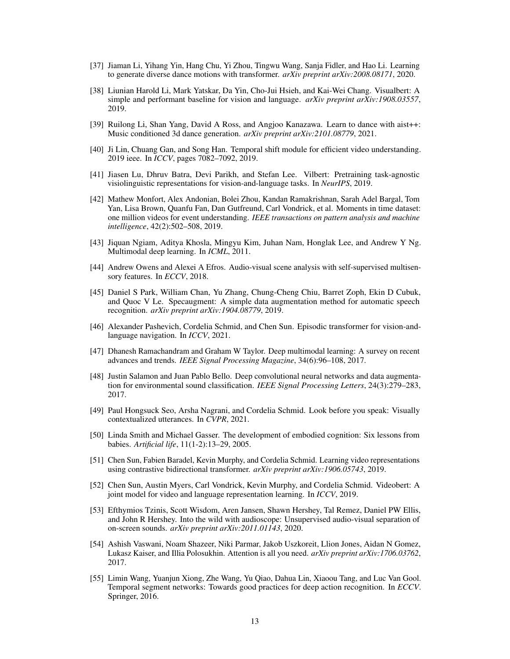- <span id="page-12-8"></span>[37] Jiaman Li, Yihang Yin, Hang Chu, Yi Zhou, Tingwu Wang, Sanja Fidler, and Hao Li. Learning to generate diverse dance motions with transformer. *arXiv preprint arXiv:2008.08171*, 2020.
- <span id="page-12-14"></span>[38] Liunian Harold Li, Mark Yatskar, Da Yin, Cho-Jui Hsieh, and Kai-Wei Chang. Visualbert: A simple and performant baseline for vision and language. *arXiv preprint arXiv:1908.03557*, 2019.
- <span id="page-12-7"></span>[39] Ruilong Li, Shan Yang, David A Ross, and Angjoo Kanazawa. Learn to dance with aist++: Music conditioned 3d dance generation. *arXiv preprint arXiv:2101.08779*, 2021.
- <span id="page-12-18"></span>[40] Ji Lin, Chuang Gan, and Song Han. Temporal shift module for efficient video understanding. 2019 ieee. In *ICCV*, pages 7082–7092, 2019.
- <span id="page-12-11"></span>[41] Jiasen Lu, Dhruv Batra, Devi Parikh, and Stefan Lee. Vilbert: Pretraining task-agnostic visiolinguistic representations for vision-and-language tasks. In *NeurIPS*, 2019.
- <span id="page-12-15"></span>[42] Mathew Monfort, Alex Andonian, Bolei Zhou, Kandan Ramakrishnan, Sarah Adel Bargal, Tom Yan, Lisa Brown, Quanfu Fan, Dan Gutfreund, Carl Vondrick, et al. Moments in time dataset: one million videos for event understanding. *IEEE transactions on pattern analysis and machine intelligence*, 42(2):502–508, 2019.
- <span id="page-12-5"></span>[43] Jiquan Ngiam, Aditya Khosla, Mingyu Kim, Juhan Nam, Honglak Lee, and Andrew Y Ng. Multimodal deep learning. In *ICML*, 2011.
- <span id="page-12-2"></span>[44] Andrew Owens and Alexei A Efros. Audio-visual scene analysis with self-supervised multisensory features. In *ECCV*, 2018.
- <span id="page-12-16"></span>[45] Daniel S Park, William Chan, Yu Zhang, Chung-Cheng Chiu, Barret Zoph, Ekin D Cubuk, and Quoc V Le. Specaugment: A simple data augmentation method for automatic speech recognition. *arXiv preprint arXiv:1904.08779*, 2019.
- <span id="page-12-10"></span>[46] Alexander Pashevich, Cordelia Schmid, and Chen Sun. Episodic transformer for vision-andlanguage navigation. In *ICCV*, 2021.
- <span id="page-12-4"></span>[47] Dhanesh Ramachandram and Graham W Taylor. Deep multimodal learning: A survey on recent advances and trends. *IEEE Signal Processing Magazine*, 34(6):96–108, 2017.
- <span id="page-12-1"></span>[48] Justin Salamon and Juan Pablo Bello. Deep convolutional neural networks and data augmentation for environmental sound classification. *IEEE Signal Processing Letters*, 24(3):279–283, 2017.
- <span id="page-12-9"></span>[49] Paul Hongsuck Seo, Arsha Nagrani, and Cordelia Schmid. Look before you speak: Visually contextualized utterances. In *CVPR*, 2021.
- <span id="page-12-0"></span>[50] Linda Smith and Michael Gasser. The development of embodied cognition: Six lessons from babies. *Artificial life*, 11(1-2):13–29, 2005.
- <span id="page-12-13"></span>[51] Chen Sun, Fabien Baradel, Kevin Murphy, and Cordelia Schmid. Learning video representations using contrastive bidirectional transformer. *arXiv preprint arXiv:1906.05743*, 2019.
- <span id="page-12-12"></span>[52] Chen Sun, Austin Myers, Carl Vondrick, Kevin Murphy, and Cordelia Schmid. Videobert: A joint model for video and language representation learning. In *ICCV*, 2019.
- <span id="page-12-6"></span>[53] Efthymios Tzinis, Scott Wisdom, Aren Jansen, Shawn Hershey, Tal Remez, Daniel PW Ellis, and John R Hershey. Into the wild with audioscope: Unsupervised audio-visual separation of on-screen sounds. *arXiv preprint arXiv:2011.01143*, 2020.
- <span id="page-12-3"></span>[54] Ashish Vaswani, Noam Shazeer, Niki Parmar, Jakob Uszkoreit, Llion Jones, Aidan N Gomez, Lukasz Kaiser, and Illia Polosukhin. Attention is all you need. *arXiv preprint arXiv:1706.03762*, 2017.
- <span id="page-12-17"></span>[55] Limin Wang, Yuanjun Xiong, Zhe Wang, Yu Qiao, Dahua Lin, Xiaoou Tang, and Luc Van Gool. Temporal segment networks: Towards good practices for deep action recognition. In *ECCV*. Springer, 2016.